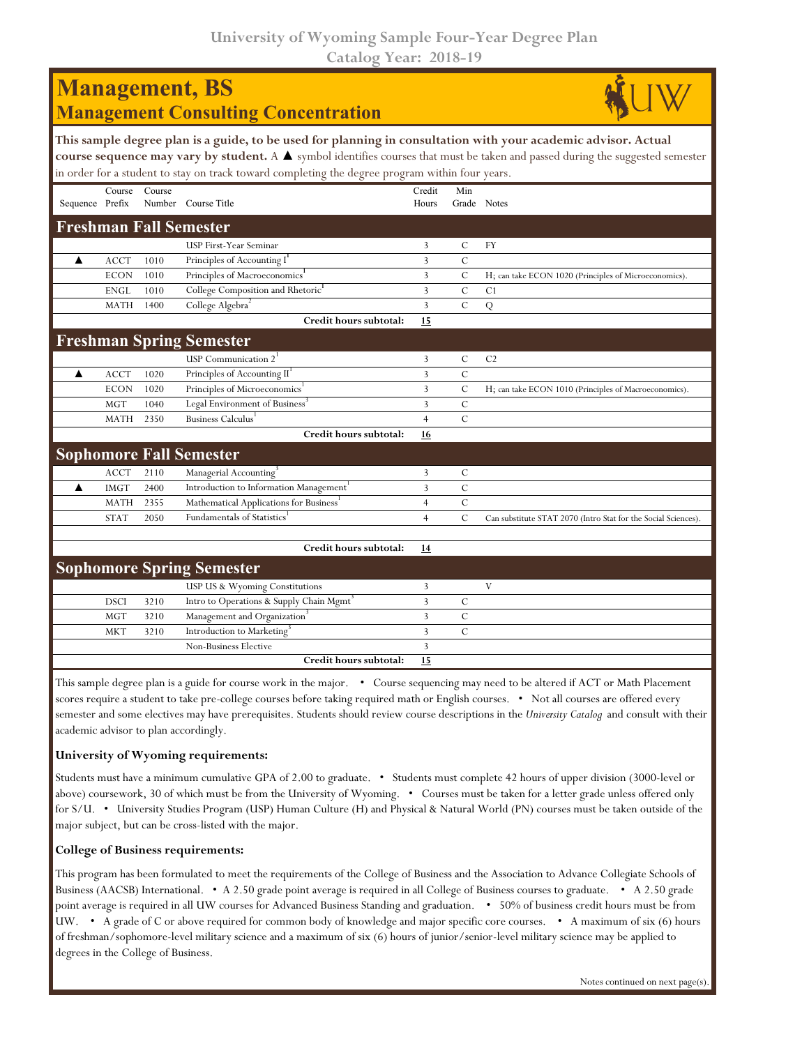**University of Wyoming Sample Four-Year Degree Plan Catalog Year: 2018-19**

| <b>Management</b> , BS<br><b>Management Consulting Concentration</b>                                                                                                                                                                                                                                                                                               |             |        |                                                      |                 |                    |                                                                |  |  |  |  |  |
|--------------------------------------------------------------------------------------------------------------------------------------------------------------------------------------------------------------------------------------------------------------------------------------------------------------------------------------------------------------------|-------------|--------|------------------------------------------------------|-----------------|--------------------|----------------------------------------------------------------|--|--|--|--|--|
| This sample degree plan is a guide, to be used for planning in consultation with your academic advisor. Actual<br>course sequence may vary by student. A $\blacktriangle$ symbol identifies courses that must be taken and passed during the suggested semester<br>in order for a student to stay on track toward completing the degree program within four years. |             |        |                                                      |                 |                    |                                                                |  |  |  |  |  |
| Sequence Prefix                                                                                                                                                                                                                                                                                                                                                    | Course      | Course | Number Course Title                                  | Credit<br>Hours | Min<br>Grade Notes |                                                                |  |  |  |  |  |
|                                                                                                                                                                                                                                                                                                                                                                    |             |        | <b>Freshman Fall Semester</b>                        |                 |                    |                                                                |  |  |  |  |  |
|                                                                                                                                                                                                                                                                                                                                                                    |             |        | USP First-Year Seminar                               | 3               | $\mathsf{C}$       | FY                                                             |  |  |  |  |  |
| ▲                                                                                                                                                                                                                                                                                                                                                                  | <b>ACCT</b> | 1010   | Principles of Accounting I                           | 3               | $\mathcal{C}$      |                                                                |  |  |  |  |  |
|                                                                                                                                                                                                                                                                                                                                                                    | <b>ECON</b> | 1010   | Principles of Macroeconomics <sup>1</sup>            | 3               | $\mathcal{C}$      | H; can take ECON 1020 (Principles of Microeconomics).          |  |  |  |  |  |
|                                                                                                                                                                                                                                                                                                                                                                    | <b>ENGL</b> | 1010   | College Composition and Rhetoric <sup>1</sup>        | 3               | $\mathcal{C}$      | C <sub>1</sub>                                                 |  |  |  |  |  |
|                                                                                                                                                                                                                                                                                                                                                                    | <b>MATH</b> | 1400   | College Algebra <sup>2</sup>                         | 3               | $\mathcal{C}$      | ${\bf Q}$                                                      |  |  |  |  |  |
|                                                                                                                                                                                                                                                                                                                                                                    |             |        | Credit hours subtotal:                               | 15              |                    |                                                                |  |  |  |  |  |
|                                                                                                                                                                                                                                                                                                                                                                    |             |        | <b>Freshman Spring Semester</b>                      |                 |                    |                                                                |  |  |  |  |  |
|                                                                                                                                                                                                                                                                                                                                                                    |             |        | USP Communication 2                                  | 3               | $\mathbf C$        | C <sub>2</sub>                                                 |  |  |  |  |  |
| ▲                                                                                                                                                                                                                                                                                                                                                                  | <b>ACCT</b> | 1020   | Principles of Accounting II                          | 3               | $\mathcal{C}$      |                                                                |  |  |  |  |  |
|                                                                                                                                                                                                                                                                                                                                                                    | <b>ECON</b> | 1020   | Principles of Microeconomics <sup>1</sup>            | 3               | $\mathcal{C}$      | H; can take ECON 1010 (Principles of Macroeconomics).          |  |  |  |  |  |
|                                                                                                                                                                                                                                                                                                                                                                    | <b>MGT</b>  | 1040   | Legal Environment of Business <sup>3</sup>           | 3               | $\mathcal{C}$      |                                                                |  |  |  |  |  |
|                                                                                                                                                                                                                                                                                                                                                                    | <b>MATH</b> | 2350   | Business Calculus                                    | $\overline{4}$  | $\mathcal{C}$      |                                                                |  |  |  |  |  |
|                                                                                                                                                                                                                                                                                                                                                                    |             |        | Credit hours subtotal:                               | 16              |                    |                                                                |  |  |  |  |  |
|                                                                                                                                                                                                                                                                                                                                                                    |             |        | <b>Sophomore Fall Semester</b>                       |                 |                    |                                                                |  |  |  |  |  |
|                                                                                                                                                                                                                                                                                                                                                                    | <b>ACCT</b> | 2110   | Managerial Accounting <sup>3</sup>                   | 3               | C                  |                                                                |  |  |  |  |  |
| ▲                                                                                                                                                                                                                                                                                                                                                                  | <b>IMGT</b> | 2400   | Introduction to Information Management               | 3               | $\mathcal{C}$      |                                                                |  |  |  |  |  |
|                                                                                                                                                                                                                                                                                                                                                                    | <b>MATH</b> | 2355   | Mathematical Applications for Business               | $\overline{4}$  | $\mathcal{C}$      |                                                                |  |  |  |  |  |
|                                                                                                                                                                                                                                                                                                                                                                    | <b>STAT</b> | 2050   | <b>Fundamentals of Statistics</b>                    | $\overline{4}$  | $\mathcal{C}$      | Can substitute STAT 2070 (Intro Stat for the Social Sciences). |  |  |  |  |  |
|                                                                                                                                                                                                                                                                                                                                                                    |             |        | Credit hours subtotal:                               | 14              |                    |                                                                |  |  |  |  |  |
|                                                                                                                                                                                                                                                                                                                                                                    |             |        | <b>Sophomore Spring Semester</b>                     |                 |                    |                                                                |  |  |  |  |  |
|                                                                                                                                                                                                                                                                                                                                                                    |             |        | USP US & Wyoming Constitutions                       | 3               |                    | $\mathbf V$                                                    |  |  |  |  |  |
|                                                                                                                                                                                                                                                                                                                                                                    | <b>DSCI</b> | 3210   | Intro to Operations & Supply Chain Mgmt <sup>3</sup> | 3               | $\mathcal{C}$      |                                                                |  |  |  |  |  |
|                                                                                                                                                                                                                                                                                                                                                                    | MGT         | 3210   | Management and Organization <sup>3</sup>             | 3               | $\mathcal{C}$      |                                                                |  |  |  |  |  |
|                                                                                                                                                                                                                                                                                                                                                                    | <b>MKT</b>  | 3210   | Introduction to Marketing                            | 3               | $\mathcal{C}$      |                                                                |  |  |  |  |  |
|                                                                                                                                                                                                                                                                                                                                                                    |             |        | Non-Business Elective                                | 3               |                    |                                                                |  |  |  |  |  |
|                                                                                                                                                                                                                                                                                                                                                                    |             |        | Credit hours subtotal:                               | 15              |                    |                                                                |  |  |  |  |  |

This sample degree plan is a guide for course work in the major. • Course sequencing may need to be altered if ACT or Math Placement scores require a student to take pre-college courses before taking required math or English courses. • Not all courses are offered every semester and some electives may have prerequisites. Students should review course descriptions in the *University Catalog* and consult with their academic advisor to plan accordingly.

## **University of Wyoming requirements:**

Students must have a minimum cumulative GPA of 2.00 to graduate. • Students must complete 42 hours of upper division (3000-level or above) coursework, 30 of which must be from the University of Wyoming. • Courses must be taken for a letter grade unless offered only for S/U. • University Studies Program (USP) Human Culture (H) and Physical & Natural World (PN) courses must be taken outside of the major subject, but can be cross-listed with the major.

## **College of Business requirements:**

This program has been formulated to meet the requirements of the College of Business and the Association to Advance Collegiate Schools of Business (AACSB) International. • A 2.50 grade point average is required in all College of Business courses to graduate. • A 2.50 grade point average is required in all UW courses for Advanced Business Standing and graduation. • 50% of business credit hours must be from UW. • A grade of C or above required for common body of knowledge and major specific core courses. • A maximum of six (6) hours of freshman/sophomore-level military science and a maximum of six (6) hours of junior/senior-level military science may be applied to degrees in the College of Business.